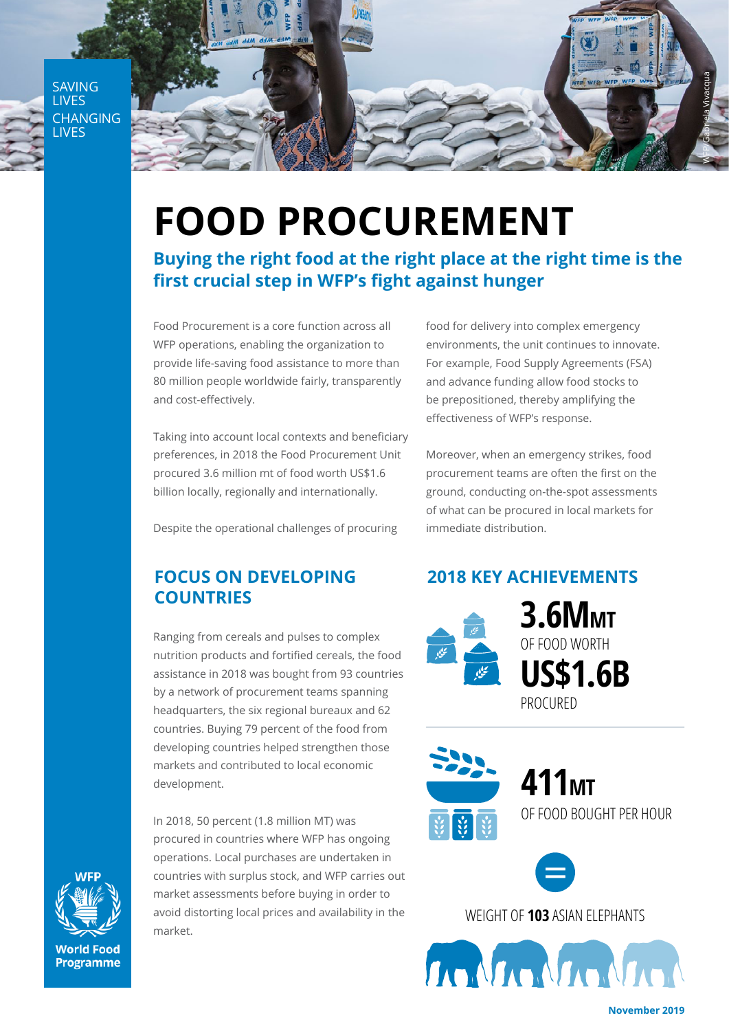SAVING LIVES CHANGING LIVES



# **FOOD PROCUREMENT**

## **Buying the right food at the right place at the right time is the first crucial step in WFP's fight against hunger**

Food Procurement is a core function across all WFP operations, enabling the organization to provide life-saving food assistance to more than 80 million people worldwide fairly, transparently and cost-effectively.

Taking into account local contexts and beneficiary preferences, in 2018 the Food Procurement Unit procured 3.6 million mt of food worth US\$1.6 billion locally, regionally and internationally.

Despite the operational challenges of procuring

#### **FOCUS ON DEVELOPING COUNTRIES**

Ranging from cereals and pulses to complex nutrition products and fortified cereals, the food assistance in 2018 was bought from 93 countries by a network of procurement teams spanning headquarters, the six regional bureaux and 62 countries. Buying 79 percent of the food from developing countries helped strengthen those markets and contributed to local economic development.

In 2018, 50 percent (1.8 million MT) was procured in countries where WFP has ongoing operations. Local purchases are undertaken in countries with surplus stock, and WFP carries out market assessments before buying in order to avoid distorting local prices and availability in the market.

food for delivery into complex emergency environments, the unit continues to innovate. For example, Food Supply Agreements (FSA) and advance funding allow food stocks to be prepositioned, thereby amplifying the effectiveness of WFP's response.

Moreover, when an emergency strikes, food procurement teams are often the first on the ground, conducting on-the-spot assessments of what can be procured in local markets for immediate distribution.

#### **2018 KEY ACHIEVEMENTS**



**3.6MMT US\$1.6B** OF FOOD WORTH PROCURED



**411MT** OF FOOD BOUGHT PER HOUR



WEIGHT OF **103** ASIAN ELEPHANTS

The Mac Mac Ma



**November 2019**